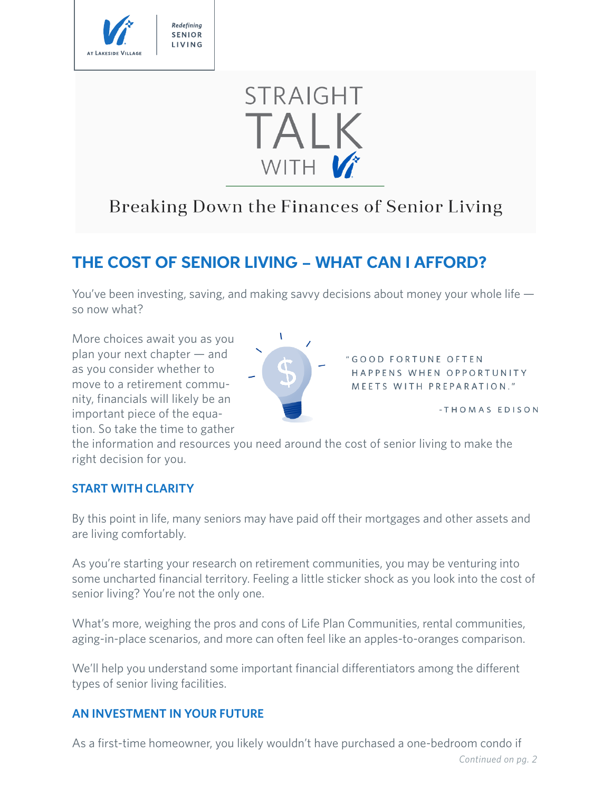

# **STRAIGHT** TALK WITH V

## Breaking Down the Finances of Senior Living

### **THE COST OF SENIOR LIVING – WHAT CAN I AFFORD?**

You've been investing, saving, and making savvy decisions about money your whole life so now what?

More choices await you as you plan your next chapter — and as you consider whether to move to a retirement community, financials will likely be an important piece of the equation. So take the time to gather



"GOOD FORTUNE OFTEN HAPPENS WHEN OPPORTUNITY MEETS WITH PREPARATION."

-THOMAS EDISON

the information and resources you need around the cost of senior living to make the right decision for you.

#### **START WITH CLARITY**

By this point in life, many seniors may have paid off their mortgages and other assets and are living comfortably.

As you're starting your research on retirement communities, you may be venturing into some uncharted financial territory. Feeling a little sticker shock as you look into the cost of senior living? You're not the only one.

What's more, weighing the pros and cons of Life Plan Communities, rental communities, aging-in-place scenarios, and more can often feel like an apples-to-oranges comparison.

We'll help you understand some important financial differentiators among the different types of senior living facilities.

#### **AN INVESTMENT IN YOUR FUTURE**

As a first-time homeowner, you likely wouldn't have purchased a one-bedroom condo if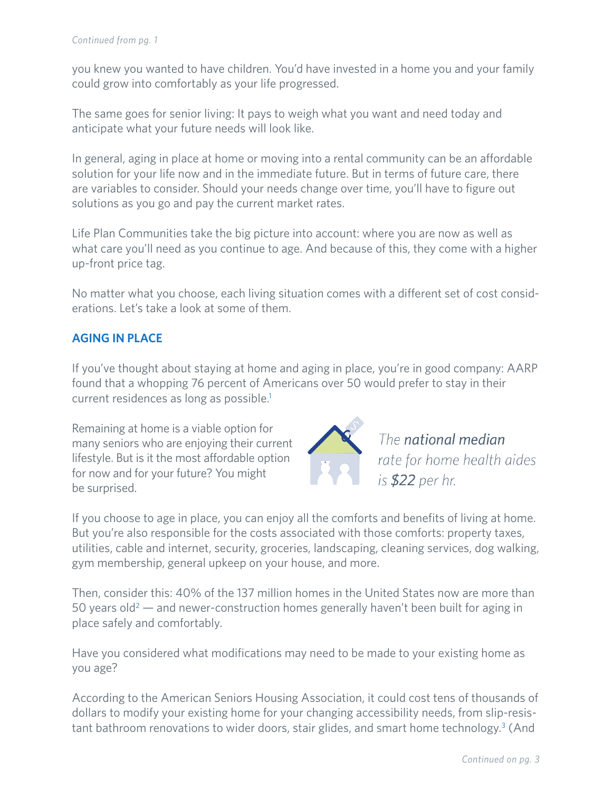you knew you wanted to have children. You'd have invested in a home you and your family could grow into comfortably as your life progressed.

The same goes for senior living: It pays to weigh what you want and need today and anticipate what your future needs will look like.

In general, aging in place at home or moving into a rental community can be an affordable solution for your life now and in the immediate future. But in terms of future care, there are variables to consider. Should your needs change over time, you'll have to figure out solutions as you go and pay the current market rates.

Life Plan Communities take the big picture into account: where you are now as well as what care you'll need as you continue to age. And because of this, they come with a higher up-front price tag.

No matter what you choose, each living situation comes with a different set of cost considerations. Let's take a look at some of them.

#### **AGING IN PLACE**

If you've thought about staying at home and aging in place, you're in good company: AARP found that a whopping 76 percent of Americans over 50 would prefer to stay in their current residences as long as possible.<sup>1</sup>

Remaining at home is a viable option for many seniors who are enjoying their current lifestyle. But is it the most affordable option for now and for your future? You might be surprised.



The national median rate for home health aides is \$22 per hr.

If you choose to age in place, you can enjoy all the comforts and benefits of living at home. But you're also responsible for the costs associated with those comforts: property taxes, utilities, cable and internet, security, groceries, landscaping, cleaning services, dog walking, gym membership, general upkeep on your house, and more.

Then, consider this: 40% of the 137 million homes in the United States now are more than 50 years old<sup>2</sup>  $-$  and newer-construction homes generally haven't been built for aging in place safely and comfortably.

Have you considered what modifications may need to be made to your existing home as you age?

According to the American Seniors Housing Association, it could cost tens of thousands of dollars to modify your existing home for your changing accessibility needs, from slip-resistant bathroom renovations to wider doors, stair glides, and smart home technology.<sup>3</sup> (And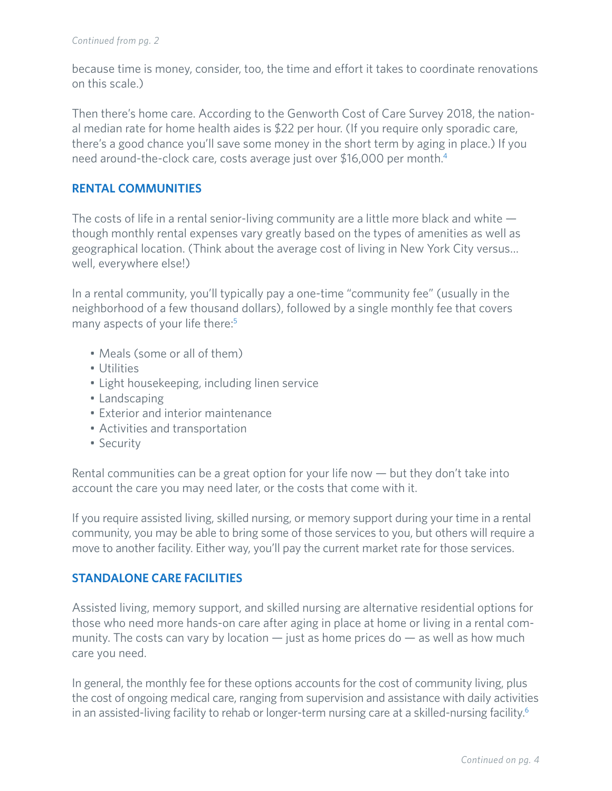because time is money, consider, too, the time and effort it takes to coordinate renovations on this scale.)

Then there's home care. According to the Genworth Cost of Care Survey 2018, the national median rate for home health aides is \$22 per hour. (If you require only sporadic care, there's a good chance you'll save some money in the short term by aging in place.) If you need around-the-clock care, costs average just over \$16,000 per month.4

#### **RENTAL COMMUNITIES**

The costs of life in a rental senior-living community are a little more black and white though monthly rental expenses vary greatly based on the types of amenities as well as geographical location. (Think about the average cost of living in New York City versus… well, everywhere else!)

In a rental community, you'll typically pay a one-time "community fee" (usually in the neighborhood of a few thousand dollars), followed by a single monthly fee that covers many aspects of your life there:<sup>5</sup>

- Meals (some or all of them)
- Utilities
- Light housekeeping, including linen service
- Landscaping
- Exterior and interior maintenance
- Activities and transportation
- Security

Rental communities can be a great option for your life now — but they don't take into account the care you may need later, or the costs that come with it.

If you require assisted living, skilled nursing, or memory support during your time in a rental community, you may be able to bring some of those services to you, but others will require a move to another facility. Either way, you'll pay the current market rate for those services.

#### **STANDALONE CARE FACILITIES**

Assisted living, memory support, and skilled nursing are alternative residential options for those who need more hands-on care after aging in place at home or living in a rental community. The costs can vary by location  $-$  just as home prices do  $-$  as well as how much care you need.

In general, the monthly fee for these options accounts for the cost of community living, plus the cost of ongoing medical care, ranging from supervision and assistance with daily activities in an assisted-living facility to rehab or longer-term nursing care at a skilled-nursing facility.<sup>6</sup>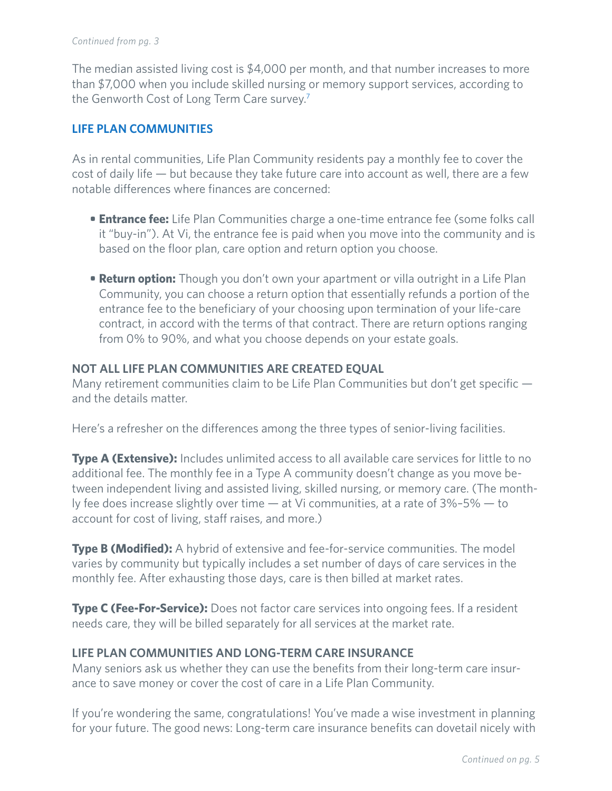#### *Continued from pg. 3*

The median assisted living cost is \$4,000 per month, and that number increases to more than \$7,000 when you include skilled nursing or memory support services, according to the Genworth Cost of Long Term Care survey.7

#### **LIFE PLAN COMMUNITIES**

As in rental communities, Life Plan Community residents pay a monthly fee to cover the cost of daily life — but because they take future care into account as well, there are a few notable differences where finances are concerned:

- **• Entrance fee:** Life Plan Communities charge a one-time entrance fee (some folks call it "buy-in"). At Vi, the entrance fee is paid when you move into the community and is based on the floor plan, care option and return option you choose.
- **• Return option:** Though you don't own your apartment or villa outright in a Life Plan Community, you can choose a return option that essentially refunds a portion of the entrance fee to the beneficiary of your choosing upon termination of your life-care contract, in accord with the terms of that contract. There are return options ranging from 0% to 90%, and what you choose depends on your estate goals.

#### **NOT ALL LIFE PLAN COMMUNITIES ARE CREATED EQUAL**

Many retirement communities claim to be Life Plan Communities but don't get specific and the details matter.

Here's a refresher on the differences among the three types of senior-living facilities.

**Type A (Extensive):** Includes unlimited access to all available care services for little to no additional fee. The monthly fee in a Type A community doesn't change as you move between independent living and assisted living, skilled nursing, or memory care. (The monthly fee does increase slightly over time — at Vi communities, at a rate of 3%–5% — to account for cost of living, staff raises, and more.)

**Type B (Modified):** A hybrid of extensive and fee-for-service communities. The model varies by community but typically includes a set number of days of care services in the monthly fee. After exhausting those days, care is then billed at market rates.

**Type C (Fee-For-Service):** Does not factor care services into ongoing fees. If a resident needs care, they will be billed separately for all services at the market rate.

#### **LIFE PLAN COMMUNITIES AND LONG-TERM CARE INSURANCE**

Many seniors ask us whether they can use the benefits from their long-term care insurance to save money or cover the cost of care in a Life Plan Community.

If you're wondering the same, congratulations! You've made a wise investment in planning for your future. The good news: Long-term care insurance benefits can dovetail nicely with